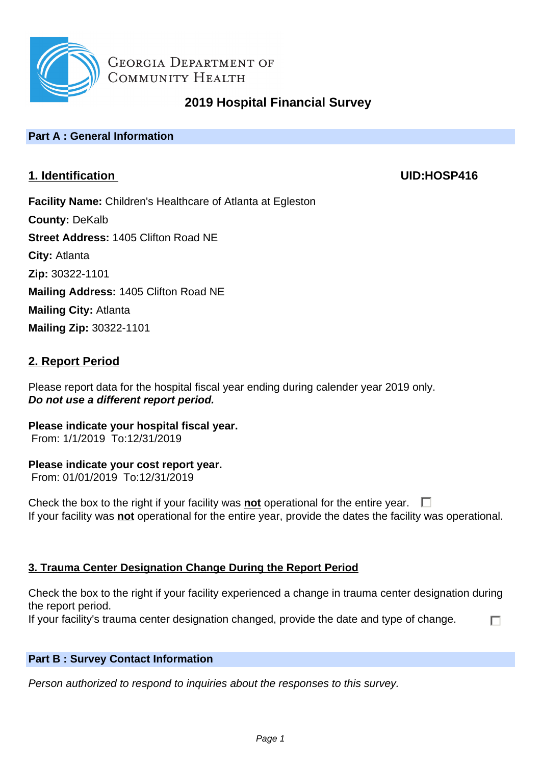

# **2019 Hospital Financial Survey**

## **Part A : General Information**

## **1. Identification UID:HOSP416**

п

**Facility Name:** Children's Healthcare of Atlanta at Egleston **County:** DeKalb **Street Address:** 1405 Clifton Road NE **City:** Atlanta **Zip:** 30322-1101 **Mailing Address:** 1405 Clifton Road NE **Mailing City:** Atlanta **Mailing Zip:** 30322-1101

## **2. Report Period**

Please report data for the hospital fiscal year ending during calender year 2019 only. **Do not use a different report period.**

**Please indicate your hospital fiscal year.** From: 1/1/2019 To:12/31/2019

## **Please indicate your cost report year.**

From: 01/01/2019 To:12/31/2019

Check the box to the right if your facility was **not** operational for the entire year.  $\Box$ If your facility was **not** operational for the entire year, provide the dates the facility was operational.

## **3. Trauma Center Designation Change During the Report Period**

Check the box to the right if your facility experienced a change in trauma center designation during the report period.

If your facility's trauma center designation changed, provide the date and type of change.

## **Part B : Survey Contact Information**

Person authorized to respond to inquiries about the responses to this survey.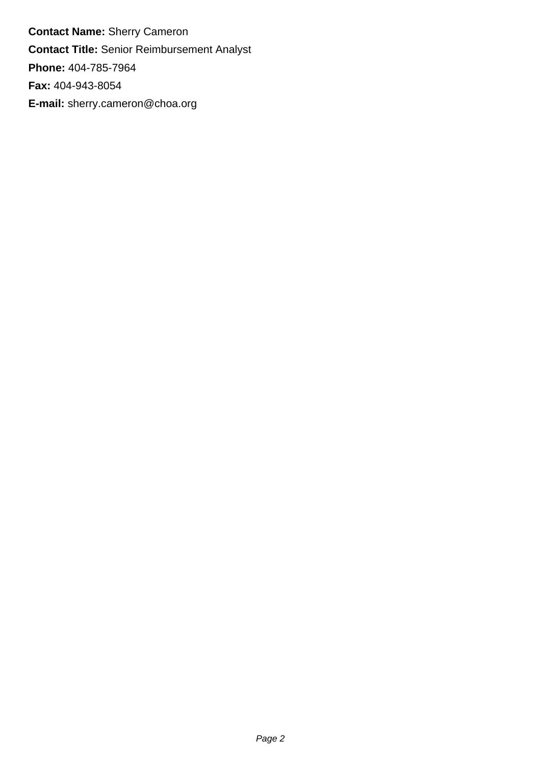**Contact Name:** Sherry Cameron **Contact Title:** Senior Reimbursement Analyst **Phone:** 404-785-7964 **Fax:** 404-943-8054 **E-mail:** sherry.cameron@choa.org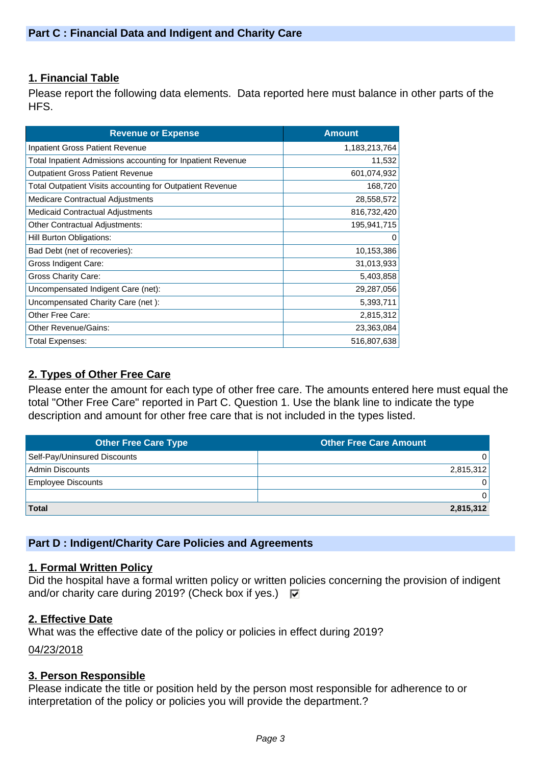## **1. Financial Table**

Please report the following data elements. Data reported here must balance in other parts of the HFS.

| <b>Revenue or Expense</b>                                        | <b>Amount</b> |
|------------------------------------------------------------------|---------------|
| Inpatient Gross Patient Revenue                                  | 1,183,213,764 |
| Total Inpatient Admissions accounting for Inpatient Revenue      | 11,532        |
| <b>Outpatient Gross Patient Revenue</b>                          | 601,074,932   |
| <b>Total Outpatient Visits accounting for Outpatient Revenue</b> | 168,720       |
| Medicare Contractual Adjustments                                 | 28,558,572    |
| <b>Medicaid Contractual Adjustments</b>                          | 816,732,420   |
| <b>Other Contractual Adjustments:</b>                            | 195,941,715   |
| Hill Burton Obligations:                                         | 0             |
| Bad Debt (net of recoveries):                                    | 10,153,386    |
| Gross Indigent Care:                                             | 31,013,933    |
| Gross Charity Care:                                              | 5,403,858     |
| Uncompensated Indigent Care (net):                               | 29,287,056    |
| Uncompensated Charity Care (net):                                | 5,393,711     |
| Other Free Care:                                                 | 2,815,312     |
| <b>Other Revenue/Gains:</b>                                      | 23,363,084    |
| <b>Total Expenses:</b>                                           | 516,807,638   |

## **2. Types of Other Free Care**

Please enter the amount for each type of other free care. The amounts entered here must equal the total "Other Free Care" reported in Part C. Question 1. Use the blank line to indicate the type description and amount for other free care that is not included in the types listed.

| <b>Other Free Care Type</b>  | <b>Other Free Care Amount</b> |
|------------------------------|-------------------------------|
| Self-Pay/Uninsured Discounts |                               |
| <b>Admin Discounts</b>       | 2,815,312                     |
| <b>Employee Discounts</b>    |                               |
|                              |                               |
| <b>Total</b>                 | 2,815,312                     |

## **Part D : Indigent/Charity Care Policies and Agreements**

#### **1. Formal Written Policy**

Did the hospital have a formal written policy or written policies concerning the provision of indigent and/or charity care during 2019? (Check box if yes.)  $\overline{w}$ 

## **2. Effective Date**

What was the effective date of the policy or policies in effect during 2019?

04/23/2018

#### **3. Person Responsible**

Please indicate the title or position held by the person most responsible for adherence to or interpretation of the policy or policies you will provide the department.?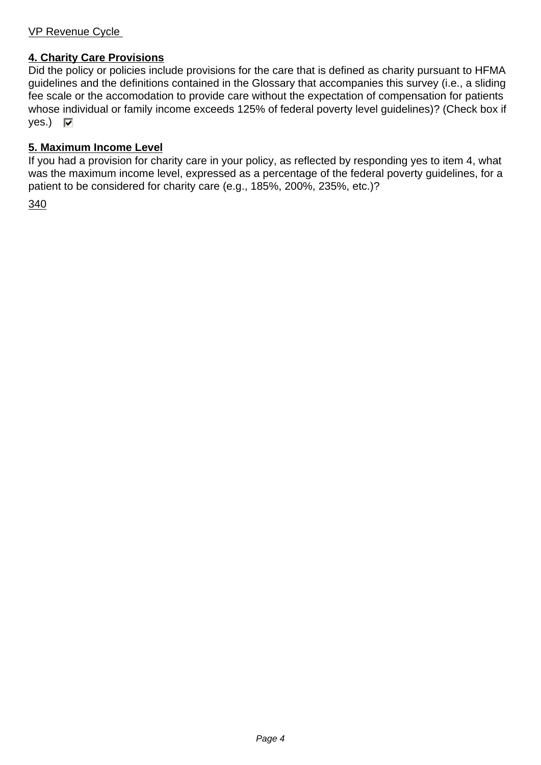## VP Revenue Cycle

## **4. Charity Care Provisions**

Did the policy or policies include provisions for the care that is defined as charity pursuant to HFMA guidelines and the definitions contained in the Glossary that accompanies this survey (i.e., a sliding fee scale or the accomodation to provide care without the expectation of compensation for patients whose individual or family income exceeds 125% of federal poverty level guidelines)? (Check box if  $yes.)$   $\nabla$ 

## **5. Maximum Income Level**

If you had a provision for charity care in your policy, as reflected by responding yes to item 4, what was the maximum income level, expressed as a percentage of the federal poverty guidelines, for a patient to be considered for charity care (e.g., 185%, 200%, 235%, etc.)?

340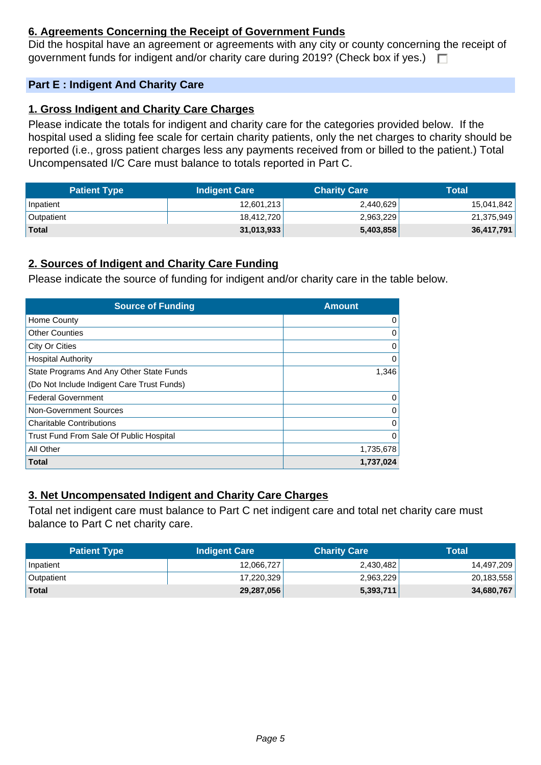## **6. Agreements Concerning the Receipt of Government Funds**

Did the hospital have an agreement or agreements with any city or county concerning the receipt of government funds for indigent and/or charity care during 2019? (Check box if yes.)  $\Box$ 

## **Part E : Indigent And Charity Care**

## **1. Gross Indigent and Charity Care Charges**

Please indicate the totals for indigent and charity care for the categories provided below. If the hospital used a sliding fee scale for certain charity patients, only the net charges to charity should be reported (i.e., gross patient charges less any payments received from or billed to the patient.) Total Uncompensated I/C Care must balance to totals reported in Part C.

| <b>Patient Type</b> | <b>Indigent Care</b> | <b>Charity Care</b> | Total      |
|---------------------|----------------------|---------------------|------------|
| Inpatient           | 12,601,213           | 2,440,629           | 15,041,842 |
| Outpatient          | 18,412,720           | 2,963,229           | 21,375,949 |
| Total               | 31,013,933           | 5,403,858           | 36,417,791 |

## **2. Sources of Indigent and Charity Care Funding**

Please indicate the source of funding for indigent and/or charity care in the table below.

| <b>Source of Funding</b>                   | <b>Amount</b> |
|--------------------------------------------|---------------|
| Home County                                |               |
| <b>Other Counties</b>                      |               |
| City Or Cities                             |               |
| <b>Hospital Authority</b>                  |               |
| State Programs And Any Other State Funds   | 1,346         |
| (Do Not Include Indigent Care Trust Funds) |               |
| <b>Federal Government</b>                  |               |
| Non-Government Sources                     |               |
| <b>Charitable Contributions</b>            |               |
| Trust Fund From Sale Of Public Hospital    |               |
| All Other                                  | 1,735,678     |
| <b>Total</b>                               | 1,737,024     |

## **3. Net Uncompensated Indigent and Charity Care Charges**

Total net indigent care must balance to Part C net indigent care and total net charity care must balance to Part C net charity care.

| <b>Patient Type</b> | <b>Indigent Care</b> | <b>Charity Care</b> | Total      |
|---------------------|----------------------|---------------------|------------|
| Inpatient           | 12,066,727           | 2,430,482           | 14,497,209 |
| <b>Outpatient</b>   | 17,220,329           | 2,963,229           | 20,183,558 |
| Total               | 29,287,056           | 5,393,711           | 34,680,767 |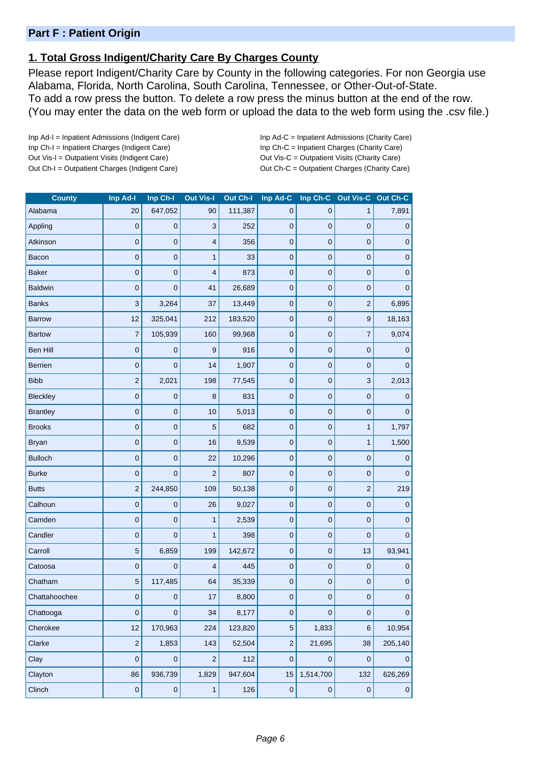## **Part F : Patient Origin**

## **1. Total Gross Indigent/Charity Care By Charges County**

Please report Indigent/Charity Care by County in the following categories. For non Georgia use Alabama, Florida, North Carolina, South Carolina, Tennessee, or Other-Out-of-State. To add a row press the button. To delete a row press the minus button at the end of the row. (You may enter the data on the web form or upload the data to the web form using the .csv file.)

Inp Ad-I = Inpatient Admissions (Indigent Care) Inp Ad-C = Inpatient Admissions (Charity Care) Inp Ch-I = Inpatient Charges (Indigent Care) Inp Ch-C = Inpatient Charges (Charity Care) Out Vis-I = Outpatient Visits (Indigent Care) Out Vis-C = Outpatient Visits (Charity Care) Out Ch-I = Outpatient Charges (Indigent Care) Out Ch-C = Outpatient Charges (Charity Care)

| <b>County</b>   | Inp Ad-I       | Inp Ch-I       | <b>Out Vis-I</b>          | Out Ch-I | Inp Ad-C         | Inp Ch-C    | Out Vis-C        | Out Ch-C       |
|-----------------|----------------|----------------|---------------------------|----------|------------------|-------------|------------------|----------------|
| Alabama         | 20             | 647,052        | 90                        | 111,387  | $\mathbf 0$      | 0           | 1                | 7,891          |
| Appling         | 0              | 0              | $\ensuremath{\mathsf{3}}$ | 252      | $\mathbf 0$      | $\mathbf 0$ | $\pmb{0}$        | 0              |
| Atkinson        | 0              | 0              | $\overline{4}$            | 356      | 0                | 0           | $\mathbf 0$      | 0              |
| Bacon           | 0              | $\mathbf 0$    | 1                         | 33       | $\mathbf 0$      | $\mathbf 0$ | $\pmb{0}$        | $\pmb{0}$      |
| <b>Baker</b>    | 0              | $\mathbf 0$    | $\overline{4}$            | 873      | $\mathbf 0$      | $\mathbf 0$ | $\mathbf 0$      | 0              |
| <b>Baldwin</b>  | 0              | $\mathbf 0$    | 41                        | 26,689   | $\mathbf 0$      | $\mathbf 0$ | $\mathbf 0$      | $\overline{0}$ |
| <b>Banks</b>    | 3              | 3,264          | 37                        | 13,449   | $\mathbf 0$      | $\mathbf 0$ | $\overline{c}$   | 6,895          |
| <b>Barrow</b>   | 12             | 325,041        | 212                       | 183,520  | 0                | $\pmb{0}$   | $\boldsymbol{9}$ | 18,163         |
| <b>Bartow</b>   | 7              | 105,939        | 160                       | 99,968   | 0                | $\mathbf 0$ | $\overline{7}$   | 9,074          |
| Ben Hill        | 0              | 0              | 9                         | 916      | $\pmb{0}$        | $\mathbf 0$ | $\pmb{0}$        | 0              |
| <b>Berrien</b>  | 0              | $\mathbf 0$    | 14                        | 1,907    | $\pmb{0}$        | $\pmb{0}$   | $\pmb{0}$        | 0              |
| <b>Bibb</b>     | $\overline{2}$ | 2,021          | 198                       | 77,545   | 0                | $\mathbf 0$ | 3                | 2,013          |
| Bleckley        | $\mathbf 0$    | $\mathbf 0$    | 8                         | 831      | $\mathbf 0$      | $\pmb{0}$   | $\pmb{0}$        | $\mathbf 0$    |
| <b>Brantley</b> | 0              | $\mathbf 0$    | 10                        | 5,013    | $\pmb{0}$        | $\mathbf 0$ | $\mathbf 0$      | $\mathbf{0}$   |
| <b>Brooks</b>   | 0              | $\mathbf 0$    | 5                         | 682      | 0                | $\mathbf 0$ | $\mathbf{1}$     | 1,797          |
| <b>Bryan</b>    | 0              | $\mathbf 0$    | 16                        | 9,539    | $\pmb{0}$        | $\mathbf 0$ | $\mathbf{1}$     | 1,500          |
| <b>Bulloch</b>  | 0              | $\mathbf 0$    | 22                        | 10,296   | 0                | $\mathbf 0$ | $\pmb{0}$        | 0              |
| <b>Burke</b>    | 0              | $\mathbf 0$    | $\overline{c}$            | 807      | 0                | $\pmb{0}$   | $\mathbf 0$      | $\overline{0}$ |
| <b>Butts</b>    | 2              | 244,850        | 109                       | 50,138   | $\mathbf 0$      | $\mathbf 0$ | $\overline{c}$   | 219            |
| Calhoun         | 0              | 0              | 26                        | 9,027    | $\pmb{0}$        | $\pmb{0}$   | $\pmb{0}$        | $\mathbf 0$    |
| Camden          | 0              | $\mathbf 0$    | $\mathbf{1}$              | 2,539    | 0                | $\mathbf 0$ | $\pmb{0}$        | 0              |
| Candler         | 0              | 0              | 1                         | 398      | $\boldsymbol{0}$ | $\mathbf 0$ | $\mathbf 0$      | $\mathbf{0}$   |
| Carroll         | 5              | 6,859          | 199                       | 142,672  | $\pmb{0}$        | $\mathbf 0$ | 13               | 93,941         |
| Catoosa         | 0              | 0              | $\overline{4}$            | 445      | 0                | $\pmb{0}$   | $\mathbf 0$      | 0              |
| Chatham         | 5              | 117,485        | 64                        | 35,339   | $\pmb{0}$        | $\mathbf 0$ | $\mathbf 0$      | $\pmb{0}$      |
| Chattahoochee   | $\overline{0}$ | $\Omega$       | $17$                      | 8,800    | 0                | $\Omega$    | $\mathbf 0$      | $\Omega$       |
| Chattooga       | 0              | $\overline{0}$ | 34                        | 8,177    | $\mathsf 0$      | $\mathbf 0$ | $\mathbf 0$      | $\mathbf 0$    |
| Cherokee        | 12             | 170,963        | 224                       | 123,820  | 5                | 1,833       | $\,$ 6 $\,$      | 10,954         |
| Clarke          | $\overline{c}$ | 1,853          | 143                       | 52,504   | $\sqrt{2}$       | 21,695      | 38               | 205,140        |
| Clay            | $\overline{0}$ | $\pmb{0}$      | $\mathbf 2$               | 112      | $\pmb{0}$        | $\mathbf 0$ | $\mathbf 0$      | $\mathbf{0}$   |
| Clayton         | 86             | 936,739        | 1,829                     | 947,604  | 15               | 1,514,700   | 132              | 626,269        |
| Clinch          | $\pmb{0}$      | $\pmb{0}$      | $\mathbf{1}$              | 126      | $\pmb{0}$        | $\pmb{0}$   | $\pmb{0}$        | $\pmb{0}$      |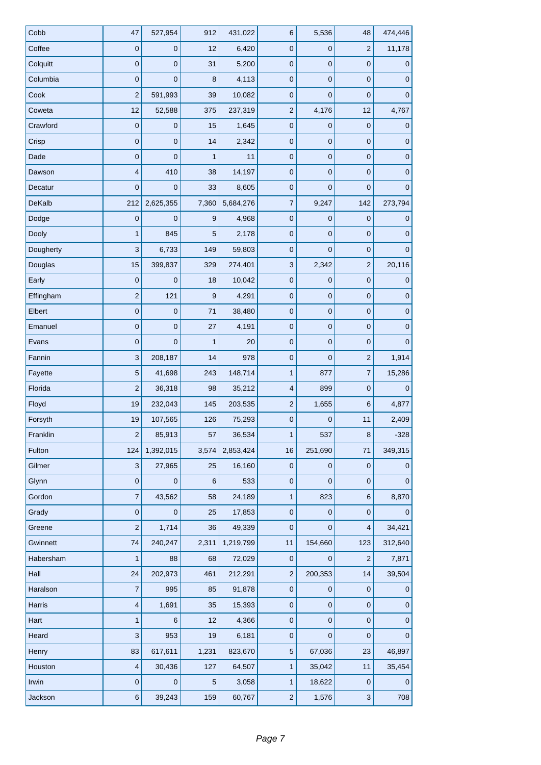| Cobb          | 47                        | 527,954        | 912          | 431,022   | 6                         | 5,536          | 48                      | 474,446      |
|---------------|---------------------------|----------------|--------------|-----------|---------------------------|----------------|-------------------------|--------------|
| Coffee        | $\mathbf 0$               | $\mathbf 0$    | 12           | 6,420     | $\mathbf 0$               | 0              | $\overline{c}$          | 11,178       |
| Colquitt      | $\mathbf 0$               | $\mathbf 0$    | 31           | 5,200     | 0                         | 0              | $\pmb{0}$               | $\mathbf{0}$ |
| Columbia      | $\mathbf 0$               | $\mathbf 0$    | 8            | 4,113     | $\pmb{0}$                 | $\mathbf 0$    | $\pmb{0}$               | $\mathbf 0$  |
| Cook          | $\overline{2}$            | 591,993        | 39           | 10,082    | $\mathbf 0$               | 0              | $\pmb{0}$               | $\pmb{0}$    |
| Coweta        | 12                        | 52,588         | 375          | 237,319   | $\overline{2}$            | 4,176          | 12                      | 4,767        |
| Crawford      | $\mathbf 0$               | $\mathbf 0$    | 15           | 1,645     | 0                         | $\mathbf 0$    | $\pmb{0}$               | $\pmb{0}$    |
| Crisp         | $\mathbf 0$               | $\mathbf 0$    | 14           | 2,342     | $\mathbf 0$               | $\mathbf 0$    | $\pmb{0}$               | $\pmb{0}$    |
| Dade          | $\mathbf 0$               | $\overline{0}$ | $\mathbf{1}$ | 11        | $\mathbf 0$               | $\mathbf 0$    | $\pmb{0}$               | $\pmb{0}$    |
| Dawson        | 4                         | 410            | 38           | 14,197    | 0                         | 0              | $\pmb{0}$               | $\mathbf 0$  |
| Decatur       | $\mathbf 0$               | $\mathbf 0$    | 33           | 8,605     | 0                         | $\mathbf 0$    | $\pmb{0}$               | $\pmb{0}$    |
| <b>DeKalb</b> | 212                       | 2,625,355      | 7,360        | 5,684,276 | 7                         | 9,247          | 142                     | 273,794      |
| Dodge         | $\mathbf 0$               | $\overline{0}$ | 9            | 4,968     | $\mathbf 0$               | $\mathbf 0$    | $\mathbf 0$             | $\pmb{0}$    |
| Dooly         | $\mathbf{1}$              | 845            | 5            | 2,178     | $\mathbf 0$               | $\mathbf 0$    | $\pmb{0}$               | $\pmb{0}$    |
| Dougherty     | 3                         | 6,733          | 149          | 59,803    | 0                         | 0              | $\pmb{0}$               | $\mathbf 0$  |
| Douglas       | 15                        | 399,837        | 329          | 274,401   | $\ensuremath{\mathsf{3}}$ | 2,342          | $\overline{c}$          | 20,116       |
| Early         | $\mathbf 0$               | $\mathbf 0$    | 18           | 10,042    | $\mathbf 0$               | $\mathbf 0$    | $\pmb{0}$               | $\mathbf 0$  |
| Effingham     | $\overline{c}$            | 121            | 9            | 4,291     | $\mathbf 0$               | $\mathbf 0$    | $\pmb{0}$               | $\pmb{0}$    |
| Elbert        | $\mathbf 0$               | $\mathbf 0$    | 71           | 38,480    | $\mathbf 0$               | $\mathbf 0$    | $\pmb{0}$               | $\pmb{0}$    |
| Emanuel       | $\mathbf 0$               | $\mathbf 0$    | 27           | 4,191     | 0                         | $\mathbf 0$    | $\pmb{0}$               | $\pmb{0}$    |
| Evans         | $\mathbf 0$               | $\mathbf 0$    | $\mathbf{1}$ | 20        | $\mathbf 0$               | $\mathbf 0$    | $\pmb{0}$               | $\mathbf 0$  |
| Fannin        | $\ensuremath{\mathsf{3}}$ | 208,187        | 14           | 978       | 0                         | $\overline{0}$ | $\mathbf{2}$            | 1,914        |
| Fayette       | $\overline{5}$            | 41,698         | 243          | 148,714   | $\mathbf{1}$              | 877            | 7                       | 15,286       |
| Florida       | $\overline{2}$            | 36,318         | 98           | 35,212    | 4                         | 899            | $\pmb{0}$               | $\mathbf 0$  |
| Floyd         | 19                        | 232,043        | 145          | 203,535   | $\mathbf 2$               | 1,655          | $\,6$                   | 4,877        |
| Forsyth       | 19                        | 107,565        | 126          | 75,293    | $\pmb{0}$                 | 0              | 11                      | 2,409        |
| Franklin      | $\overline{2}$            | 85,913         | 57           | 36,534    | 1                         | 537            | 8                       | $-328$       |
| Fulton        | 124                       | 1,392,015      | 3,574        | 2,853,424 | 16                        | 251,690        | 71                      | 349,315      |
| Gilmer        | $\sqrt{3}$                | 27,965         | 25           | 16,160    | $\pmb{0}$                 | $\pmb{0}$      | $\pmb{0}$               | $\mathbf 0$  |
| Glynn         | $\pmb{0}$                 | $\pmb{0}$      | $\,6$        | 533       | 0                         | $\mathbf 0$    | $\pmb{0}$               | $\mathbf 0$  |
| Gordon        | $\overline{7}$            | 43,562         | 58           | 24,189    | $\mathbf{1}$              | 823            | $\,6$                   | 8,870        |
| Grady         | $\pmb{0}$                 | $\pmb{0}$      | 25           | 17,853    | $\mathsf{O}\xspace$       | $\pmb{0}$      | $\pmb{0}$               | $\mathbf 0$  |
| Greene        | $\overline{c}$            | 1,714          | 36           | 49,339    | $\mathbf 0$               | 0              | 4                       | 34,421       |
| Gwinnett      | 74                        | 240,247        | 2,311        | 1,219,799 | 11                        | 154,660        | 123                     | 312,640      |
| Habersham     | $\mathbf{1}$              | 88             | 68           | 72,029    | $\pmb{0}$                 | 0              | $\overline{\mathbf{c}}$ | 7,871        |
| Hall          | 24                        | 202,973        | 461          | 212,291   | $\overline{2}$            | 200,353        | 14                      | 39,504       |
| Haralson      | $\overline{7}$            | 995            | 85           | 91,878    | $\pmb{0}$                 | $\mathbf 0$    | $\pmb{0}$               | $\mathbf 0$  |
| Harris        | $\overline{\mathbf{4}}$   | 1,691          | 35           | 15,393    | $\mathsf{O}\xspace$       | $\pmb{0}$      | $\pmb{0}$               | $\pmb{0}$    |
| Hart          | 1                         | 6              | 12           | 4,366     | 0                         | $\pmb{0}$      | $\pmb{0}$               | $\mathbf 0$  |
| Heard         | 3                         | 953            | 19           | 6,181     | $\pmb{0}$                 | 0              | $\boldsymbol{0}$        | $\mathbf 0$  |
| Henry         | 83                        | 617,611        | 1,231        | 823,670   | 5                         | 67,036         | 23                      | 46,897       |
| Houston       | $\overline{4}$            | 30,436         | 127          | 64,507    | $\mathbf{1}$              | 35,042         | 11                      | 35,454       |
| Irwin         | $\mathbf 0$               | $\mathbf 0$    | $\sqrt{5}$   | 3,058     | $\mathbf{1}$              | 18,622         | $\pmb{0}$               | $\mathbf 0$  |
| Jackson       | $\,6\,$                   | 39,243         | 159          | 60,767    | $\overline{c}$            | 1,576          | $\sqrt{3}$              | 708          |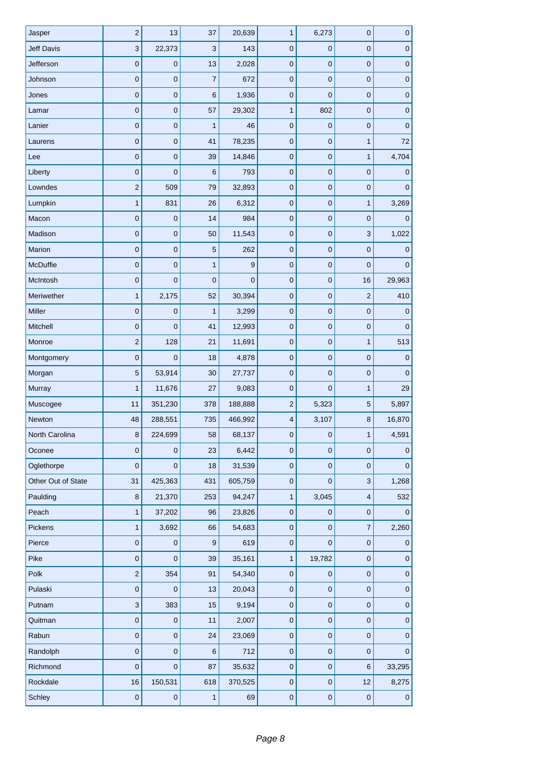| Jasper             | $\mathbf 2$    | 13           | 37               | 20,639      | $\mathbf{1}$ | 6,273          | 0                         | $\pmb{0}$      |
|--------------------|----------------|--------------|------------------|-------------|--------------|----------------|---------------------------|----------------|
| <b>Jeff Davis</b>  | $\mathbf{3}$   | 22,373       | 3                | 143         | $\mathbf 0$  | $\mathbf 0$    | $\pmb{0}$                 | $\pmb{0}$      |
| Jefferson          | $\mathbf 0$    | $\mathbf 0$  | 13               | 2,028       | $\pmb{0}$    | $\mathbf 0$    | $\mathbf 0$               | $\pmb{0}$      |
| Johnson            | $\pmb{0}$      | $\mathbf 0$  | $\overline{7}$   | 672         | $\pmb{0}$    | $\mathbf 0$    | 0                         | $\pmb{0}$      |
| Jones              | $\pmb{0}$      | $\mathbf 0$  | 6                | 1,936       | $\pmb{0}$    | $\mathbf 0$    | $\pmb{0}$                 | $\pmb{0}$      |
| Lamar              | $\mathbf 0$    | $\mathbf 0$  | 57               | 29,302      | $\mathbf{1}$ | 802            | $\mathbf 0$               | $\pmb{0}$      |
| Lanier             | $\pmb{0}$      | $\mathbf 0$  | 1                | 46          | $\pmb{0}$    | $\mathbf 0$    | 0                         | $\mathbf 0$    |
| Laurens            | $\pmb{0}$      | $\mathbf{0}$ | 41               | 78,235      | $\mathbf 0$  | $\pmb{0}$      | $\mathbf{1}$              | 72             |
| Lee                | $\pmb{0}$      | $\mathbf 0$  | 39               | 14,846      | $\pmb{0}$    | $\mathbf 0$    | $\mathbf{1}$              | 4,704          |
| Liberty            | $\mathbf 0$    | $\mathbf 0$  | 6                | 793         | $\pmb{0}$    | $\mathbf 0$    | 0                         | $\mathbf 0$    |
| Lowndes            | $\mathbf 2$    | 509          | 79               | 32,893      | $\mathbf 0$  | $\pmb{0}$      | $\pmb{0}$                 | $\mathbf 0$    |
| Lumpkin            | $\mathbf{1}$   | 831          | 26               | 6,312       | $\pmb{0}$    | $\mathbf 0$    | $\mathbf{1}$              | 3,269          |
| Macon              | $\pmb{0}$      | $\mathbf 0$  | 14               | 984         | $\pmb{0}$    | $\mathbf 0$    | 0                         | $\overline{0}$ |
| Madison            | $\pmb{0}$      | $\pmb{0}$    | 50               | 11,543      | $\pmb{0}$    | $\pmb{0}$      | $\ensuremath{\mathsf{3}}$ | 1,022          |
| Marion             | $\mathbf{0}$   | $\mathbf 0$  | 5                | 262         | $\pmb{0}$    | $\mathbf 0$    | 0                         | 0              |
| <b>McDuffie</b>    | $\pmb{0}$      | $\mathbf 0$  | $\mathbf{1}$     | 9           | $\pmb{0}$    | $\mathbf 0$    | $\mathbf 0$               | $\mathbf 0$    |
| McIntosh           | $\pmb{0}$      | $\mathbf 0$  | $\mathbf 0$      | $\mathbf 0$ | $\pmb{0}$    | $\mathbf 0$    | 16                        | 29,963         |
| Meriwether         | $\mathbf{1}$   | 2,175        | 52               | 30,394      | $\pmb{0}$    | $\mathbf 0$    | $\mathbf 2$               | 410            |
| Miller             | $\pmb{0}$      | $\mathbf 0$  | 1                | 3,299       | $\pmb{0}$    | $\mathbf 0$    | 0                         | $\mathbf 0$    |
| Mitchell           | $\pmb{0}$      | $\mathbf 0$  | 41               | 12,993      | $\pmb{0}$    | $\pmb{0}$      | $\pmb{0}$                 | $\mathbf 0$    |
| Monroe             | $\overline{c}$ | 128          | 21               | 11,691      | $\mathbf 0$  | $\mathbf 0$    | $\mathbf{1}$              | 513            |
| Montgomery         | $\mathbf 0$    | 0            | 18               | 4,878       | $\pmb{0}$    | 0              | $\mathbf 0$               | 0              |
| Morgan             | 5              | 53,914       | 30               | 27,737      | $\pmb{0}$    | $\mathbf 0$    | $\pmb{0}$                 | $\pmb{0}$      |
| Murray             | 1              | 11,676       | 27               | 9,083       | $\pmb{0}$    | $\overline{0}$ | $\mathbf 1$               | 29             |
| Muscogee           | 11             | 351,230      | 378              | 188,888     | $\mathbf 2$  | 5,323          | 5                         | 5,897          |
| Newton             | 48             | 288,551      | 735              | 466,992     | 4            | 3,107          | $\bf8$                    | 16,870         |
| North Carolina     | 8              | 224,699      | 58               | 68,137      | $\pmb{0}$    | $\pmb{0}$      | 1                         | 4,591          |
| Oconee             | $\mathbf 0$    | 0            | 23               | 6,442       | $\pmb{0}$    | 0              | $\mathbf 0$               | 0              |
| Oglethorpe         | $\mathbf 0$    | $\pmb{0}$    | 18               | 31,539      | $\pmb{0}$    | $\mathbf 0$    | $\pmb{0}$                 | $\mathbf 0$    |
| Other Out of State | 31             | 425,363      | 431              | 605,759     | $\mathbf 0$  | $\overline{0}$ | $\mathbf{3}$              | 1,268          |
| Paulding           | 8              | 21,370       | 253              | 94,247      | $\mathbf 1$  | 3,045          | $\overline{\mathbf{4}}$   | 532            |
| Peach              | $\mathbf{1}$   | 37,202       | 96               | 23,826      | $\pmb{0}$    | $\mathbf 0$    | $\pmb{0}$                 | $\mathbf{0}$   |
| Pickens            | 1              | 3,692        | 66               | 54,683      | $\pmb{0}$    | $\mathbf 0$    | $\overline{\mathcal{I}}$  | 2,260          |
| Pierce             | $\pmb{0}$      | 0            | $\boldsymbol{9}$ | 619         | $\pmb{0}$    | $\mathbf{0}$   | $\pmb{0}$                 | $\mathbf 0$    |
| Pike               | $\mathbf 0$    | $\mathbf 0$  | 39               | 35,161      | $\mathbf{1}$ | 19,782         | $\pmb{0}$                 | 0              |
| Polk               | $\overline{c}$ | 354          | 91               | 54,340      | $\mathbf 0$  | $\mathbf 0$    | $\mathsf{O}\xspace$       | $\pmb{0}$      |
| Pulaski            | $\mathbf 0$    | $\mathbf 0$  | 13               | 20,043      | $\pmb{0}$    | $\mathbf 0$    | $\mathbf 0$               | $\mathbf 0$    |
| Putnam             | $\mathbf{3}$   | 383          | 15               | 9,194       | $\pmb{0}$    | $\mathbf 0$    | $\pmb{0}$                 | $\pmb{0}$      |
| Quitman            | $\mathbf 0$    | $\mathbf 0$  | 11               | 2,007       | $\pmb{0}$    | $\mathbf 0$    | $\pmb{0}$                 | $\mathbf 0$    |
| Rabun              | $\pmb{0}$      | 0            | 24               | 23,069      | $\pmb{0}$    | $\mathbf 0$    | $\pmb{0}$                 | 0              |
| Randolph           | $\pmb{0}$      | $\pmb{0}$    | 6                | 712         | $\pmb{0}$    | $\mathbf 0$    | $\mathsf 0$               | $\mathbf 0$    |
| Richmond           | $\mathbf 0$    | $\pmb{0}$    | 87               | 35,632      | $\mathbf 0$  | $\pmb{0}$      | 6                         | 33,295         |
| Rockdale           | 16             | 150,531      | 618              | 370,525     | $\mathbf 0$  | $\mathbf 0$    | 12                        | 8,275          |
| Schley             | $\pmb{0}$      | $\pmb{0}$    | 1                | 69          | $\pmb{0}$    | $\pmb{0}$      | $\pmb{0}$                 | $\pmb{0}$      |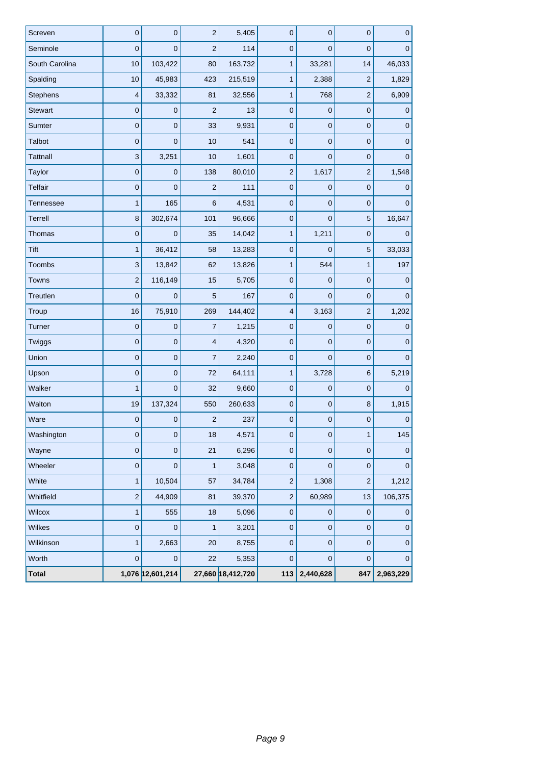| Screven         | $\mathbf 0$               | $\mathbf 0$      | $\mathbf 2$             | 5,405             | $\mathbf 0$    | $\overline{0}$ | $\mathbf 0$         | $\pmb{0}$    |
|-----------------|---------------------------|------------------|-------------------------|-------------------|----------------|----------------|---------------------|--------------|
| Seminole        | $\mathbf 0$               | $\mathbf 0$      | $\overline{2}$          | 114               | $\pmb{0}$      | $\overline{0}$ | $\mathbf 0$         | $\mathbf 0$  |
| South Carolina  | 10                        | 103,422          | 80                      | 163,732           | $\mathbf{1}$   | 33,281         | 14                  | 46,033       |
| Spalding        | 10                        | 45,983           | 423                     | 215,519           | $\mathbf{1}$   | 2,388          | $\mathbf 2$         | 1,829        |
| Stephens        | $\overline{4}$            | 33,332           | 81                      | 32,556            | $\mathbf{1}$   | 768            | $\overline{c}$      | 6,909        |
| <b>Stewart</b>  | $\mathbf 0$               | $\mathbf 0$      | $\overline{2}$          | 13                | $\mathbf 0$    | $\overline{0}$ | $\pmb{0}$           | 0            |
| Sumter          | $\mathbf 0$               | $\mathbf 0$      | 33                      | 9,931             | $\mathbf 0$    | $\mathbf 0$    | $\mathbf 0$         | $\mathbf 0$  |
| Talbot          | $\mathbf 0$               | $\mathbf 0$      | 10                      | 541               | $\mathbf 0$    | $\mathbf 0$    | $\mathsf{O}\xspace$ | 0            |
| <b>Tattnall</b> | $\mathbf{3}$              | 3,251            | 10                      | 1,601             | $\mathbf 0$    | $\overline{0}$ | 0                   | $\mathbf{0}$ |
| Taylor          | $\mathbf 0$               | $\mathbf 0$      | 138                     | 80,010            | $\overline{c}$ | 1,617          | $\mathbf 2$         | 1,548        |
| <b>Telfair</b>  | $\pmb{0}$                 | $\mathbf 0$      | $\mathbf 2$             | 111               | $\mathbf 0$    | $\mathbf 0$    | $\mathsf{O}\xspace$ | $\mathbf 0$  |
| Tennessee       | $\mathbf{1}$              | 165              | 6                       | 4,531             | $\mathbf 0$    | $\overline{0}$ | 0                   | $\Omega$     |
| Terrell         | 8                         | 302,674          | 101                     | 96,666            | $\pmb{0}$      | $\overline{0}$ | $\overline{5}$      | 16,647       |
| Thomas          | $\mathbf 0$               | $\mathbf 0$      | 35                      | 14,042            | $\mathbf{1}$   | 1,211          | $\pmb{0}$           | $\mathbf{0}$ |
| Tift            | $\mathbf{1}$              | 36,412           | 58                      | 13,283            | $\mathbf 0$    | $\Omega$       | $\sqrt{5}$          | 33,033       |
| Toombs          | $\ensuremath{\mathsf{3}}$ | 13,842           | 62                      | 13,826            | $\mathbf{1}$   | 544            | $\mathbf{1}$        | 197          |
| <b>Towns</b>    | $\mathbf 2$               | 116,149          | 15                      | 5,705             | $\mathbf 0$    | $\overline{0}$ | 0                   | $\mathbf{0}$ |
| Treutlen        | $\mathbf 0$               | $\mathbf 0$      | $\overline{5}$          | 167               | $\mathbf 0$    | $\overline{0}$ | 0                   | $\mathbf{0}$ |
| Troup           | 16                        | 75,910           | 269                     | 144,402           | 4              | 3,163          | $\mathbf 2$         | 1,202        |
| Turner          | $\mathbf 0$               | $\mathbf 0$      | $\overline{7}$          | 1,215             | $\pmb{0}$      | $\mathbf 0$    | $\pmb{0}$           | $\mathbf 0$  |
| Twiggs          | $\mathbf 0$               | $\mathbf 0$      | $\overline{\mathbf{4}}$ | 4,320             | $\mathbf 0$    | $\overline{0}$ | $\pmb{0}$           | $\mathbf{0}$ |
| Union           | $\mathbf 0$               | $\mathbf 0$      | $\overline{7}$          | 2,240             | $\mathbf 0$    | $\overline{0}$ | $\mathbf 0$         | $\mathbf{0}$ |
| Upson           | $\mathbf 0$               | $\pmb{0}$        | 72                      | 64,111            | $\mathbf{1}$   | 3,728          | 6                   | 5,219        |
| Walker          | $\mathbf{1}$              | $\overline{0}$   | 32                      | 9,660             | $\mathbf 0$    | $\overline{0}$ | $\mathbf 0$         | $\Omega$     |
| Walton          | 19                        | 137,324          | 550                     | 260,633           | $\mathbf 0$    | $\mathbf 0$    | 8                   | 1,915        |
| Ware            | $\pmb{0}$                 | $\mathbf 0$      | $\mathbf 2$             | 237               | 0              | $\mathbf 0$    | $\pmb{0}$           | $\pmb{0}$    |
| Washington      | $\mathbf 0$               | 0                | 18                      | 4,571             | $\pmb{0}$      | $\pmb{0}$      | 1                   | 145          |
| Wayne           | $\mathbf 0$               | 0                | 21                      | 6,296             | 0              | $\mathbf 0$    | $\pmb{0}$           | 0            |
| Wheeler         | $\pmb{0}$                 | $\pmb{0}$        | $\mathbf{1}$            | 3,048             | $\mathbf 0$    | $\mathbf 0$    | $\pmb{0}$           | $\mathbf 0$  |
| White           | $\mathbf{1}$              | 10,504           | 57                      | 34,784            | $\mathbf 2$    | 1,308          | $\mathbf 2$         | 1,212        |
| Whitfield       | $\overline{2}$            | 44,909           | 81                      | 39,370            | $\overline{c}$ | 60,989         | 13                  | 106,375      |
| Wilcox          | $\mathbf 1$               | 555              | 18                      | 5,096             | $\mathbf 0$    | $\pmb{0}$      | $\pmb{0}$           | $\mathbf 0$  |
| Wilkes          | $\pmb{0}$                 | 0                | 1                       | 3,201             | $\pmb{0}$      | $\mathbf 0$    | $\pmb{0}$           | 0            |
| Wilkinson       | $\mathbf{1}$              | 2,663            | 20                      | 8,755             | $\pmb{0}$      | $\mathbf 0$    | $\pmb{0}$           | 0            |
| Worth           | $\overline{0}$            | $\mathbf 0$      | 22                      | 5,353             | $\mathbf 0$    | $\mathbf{0}$   | $\mathbf 0$         | 0            |
| <b>Total</b>    |                           | 1,076 12,601,214 |                         | 27,660 18,412,720 | 113            | 2,440,628      | 847                 | 2,963,229    |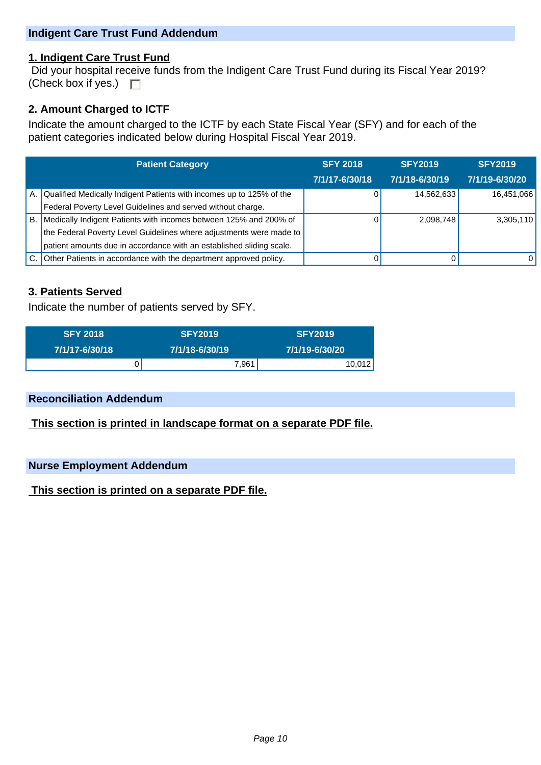## **Indigent Care Trust Fund Addendum**

#### **1. Indigent Care Trust Fund**

 Did your hospital receive funds from the Indigent Care Trust Fund during its Fiscal Year 2019? (Check box if yes.)  $\square$ 

#### **2. Amount Charged to ICTF**

Indicate the amount charged to the ICTF by each State Fiscal Year (SFY) and for each of the patient categories indicated below during Hospital Fiscal Year 2019.

|           | <b>Patient Category</b>                                                 | <b>SFY 2018</b> | <b>SFY2019</b> | <b>SFY2019</b> |
|-----------|-------------------------------------------------------------------------|-----------------|----------------|----------------|
|           |                                                                         | 7/1/17-6/30/18  | 7/1/18-6/30/19 | 7/1/19-6/30/20 |
|           | A. Qualified Medically Indigent Patients with incomes up to 125% of the |                 | 14,562,633     | 16,451,066     |
|           | Federal Poverty Level Guidelines and served without charge.             |                 |                |                |
| <b>B.</b> | Medically Indigent Patients with incomes between 125% and 200% of       |                 | 2,098,748      | 3,305,110      |
|           | the Federal Poverty Level Guidelines where adjustments were made to     |                 |                |                |
|           | patient amounts due in accordance with an established sliding scale.    |                 |                |                |
|           | Other Patients in accordance with the department approved policy.       |                 |                | $\Omega$       |

## **3. Patients Served**

Indicate the number of patients served by SFY.

| <b>SFY 2018</b> | <b>SFY2019</b> | <b>SFY2019</b> |
|-----------------|----------------|----------------|
| 7/1/17-6/30/18  | 7/1/18-6/30/19 | 7/1/19-6/30/20 |
|                 | 7,961,         | 10,012         |

## **Reconciliation Addendum**

 **This section is printed in landscape format on a separate PDF file.**

#### **Nurse Employment Addendum**

 **This section is printed on a separate PDF file.**